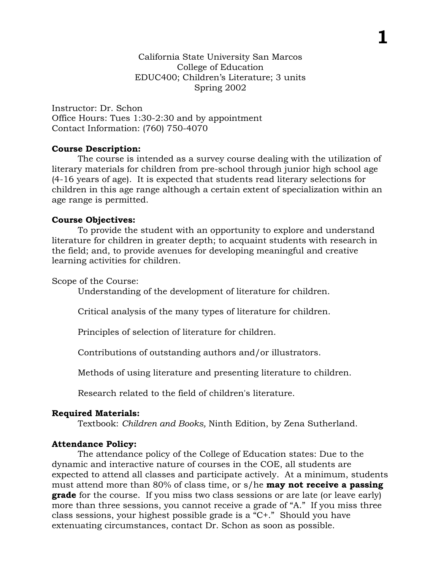**1**

Instructor: Dr. Schon Office Hours: Tues 1:30-2:30 and by appointment Contact Information: (760) 750-4070

## **Course Description:**

The course is intended as a survey course dealing with the utilization of literary materials for children from pre-school through junior high school age (4-16 years of age). It is expected that students read literary selections for children in this age range although a certain extent of specialization within an age range is permitted.

# **Course Objectives:**

To provide the student with an opportunity to explore and understand literature for children in greater depth; to acquaint students with research in the field; and, to provide avenues for developing meaningful and creative learning activities for children.

Scope of the Course:

Understanding of the development of literature for children.

Critical analysis of the many types of literature for children.

Principles of selection of literature for children.

Contributions of outstanding authors and/or illustrators.

Methods of using literature and presenting literature to children.

Research related to the field of children's literature.

# **Required Materials:**

Textbook: *Children and Books,* Ninth Edition, by Zena Sutherland.

# **Attendance Policy:**

The attendance policy of the College of Education states: Due to the dynamic and interactive nature of courses in the COE, all students are expected to attend all classes and participate actively. At a minimum, students must attend more than 80% of class time, or s/he **may not receive a passing grade** for the course. If you miss two class sessions or are late (or leave early) more than three sessions, you cannot receive a grade of "A." If you miss three class sessions, your highest possible grade is a "C+." Should you have extenuating circumstances, contact Dr. Schon as soon as possible.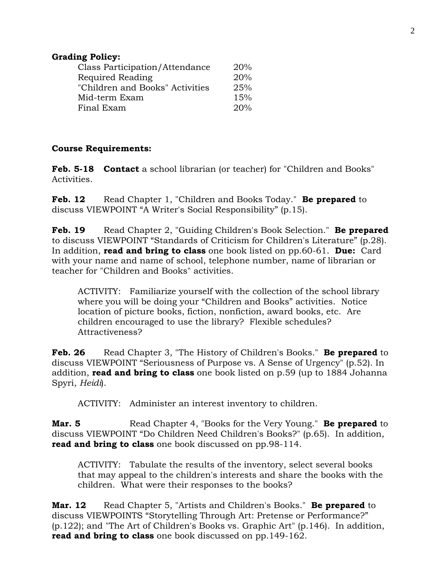### **Grading Policy:**

| Class Participation/Attendance  | 20% |
|---------------------------------|-----|
| Required Reading                | 20% |
| "Children and Books" Activities | 25% |
| Mid-term Exam                   | 15% |
| Final Exam                      | 20% |

## **Course Requirements:**

**Feb. 5-18 Contact** a school librarian (or teacher) for "Children and Books" Activities.

**Feb. 12** Read Chapter 1, "Children and Books Today." **Be prepared** to discuss VIEWPOINT "A Writer's Social Responsibility" (p.15).

**Feb. 19** Read Chapter 2, "Guiding Children's Book Selection." **Be prepared** to discuss VIEWPOINT "Standards of Criticism for Children's Literature" (p.28). In addition, **read and bring to class** one book listed on pp.60-61. **Due:** Card with your name and name of school, telephone number, name of librarian or teacher for "Children and Books" activities.

ACTIVITY: Familiarize yourself with the collection of the school library where you will be doing your "Children and Books" activities. Notice location of picture books, fiction, nonfiction, award books, etc. Are children encouraged to use the library? Flexible schedules? Attractiveness?

**Feb. 26** Read Chapter 3, "The History of Children's Books." **Be prepared** to discuss VIEWPOINT "Seriousness of Purpose vs. A Sense of Urgency" (p.52). In addition, **read and bring to class** one book listed on p.59 (up to 1884 Johanna Spyri, *Heidi*).

ACTIVITY: Administer an interest inventory to children.

**Mar. 5** Read Chapter 4, "Books for the Very Young." **Be prepared** to discuss VIEWPOINT "Do Children Need Children's Books?" (p.65). In addition, **read and bring to class** one book discussed on pp.98-114.

ACTIVITY: Tabulate the results of the inventory, select several books that may appeal to the children's interests and share the books with the children. What were their responses to the books?

**Mar. 12** Read Chapter 5, "Artists and Children's Books." **Be prepared** to discuss VIEWPOINTS "Storytelling Through Art: Pretense or Performance?" (p.122); and "The Art of Children's Books vs. Graphic Art" (p.146). In addition, **read and bring to class** one book discussed on pp.149-162.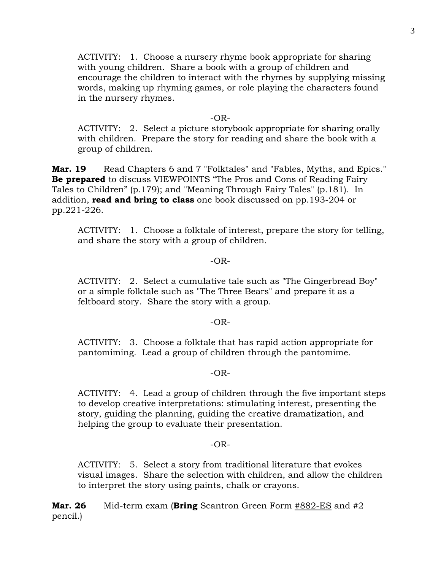ACTIVITY: 1. Choose a nursery rhyme book appropriate for sharing with young children. Share a book with a group of children and encourage the children to interact with the rhymes by supplying missing words, making up rhyming games, or role playing the characters found in the nursery rhymes.

#### $-OR-$

ACTIVITY: 2. Select a picture storybook appropriate for sharing orally with children. Prepare the story for reading and share the book with a group of children.

**Mar. 19** Read Chapters 6 and 7 "Folktales" and "Fables, Myths, and Epics." **Be prepared** to discuss VIEWPOINTS "The Pros and Cons of Reading Fairy Tales to Children" (p.179); and "Meaning Through Fairy Tales" (p.181). In addition, **read and bring to class** one book discussed on pp.193-204 or pp.221-226.

ACTIVITY: 1. Choose a folktale of interest, prepare the story for telling, and share the story with a group of children.

#### $-OR-$

ACTIVITY: 2. Select a cumulative tale such as "The Gingerbread Boy" or a simple folktale such as "The Three Bears" and prepare it as a feltboard story. Share the story with a group.

#### $-OR-$

ACTIVITY: 3. Choose a folktale that has rapid action appropriate for pantomiming. Lead a group of children through the pantomime.

#### $-OR-$

ACTIVITY: 4. Lead a group of children through the five important steps to develop creative interpretations: stimulating interest, presenting the story, guiding the planning, guiding the creative dramatization, and helping the group to evaluate their presentation.

#### -OR-

ACTIVITY: 5. Select a story from traditional literature that evokes visual images. Share the selection with children, and allow the children to interpret the story using paints, chalk or crayons.

**Mar. 26** Mid-term exam (**Bring** Scantron Green Form #882-ES and #2 pencil.)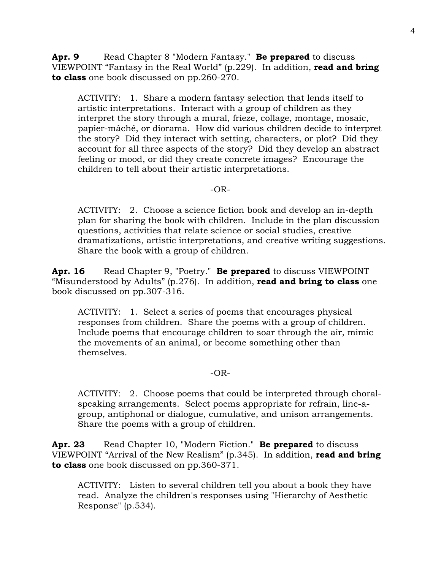**Apr. 9** Read Chapter 8 "Modern Fantasy." **Be prepared** to discuss VIEWPOINT "Fantasy in the Real World" (p.229). In addition, **read and bring to class** one book discussed on pp.260-270.

ACTIVITY: 1. Share a modern fantasy selection that lends itself to artistic interpretations. Interact with a group of children as they interpret the story through a mural, frieze, collage, montage, mosaic, papier-mâché, or diorama. How did various children decide to interpret the story? Did they interact with setting, characters, or plot? Did they account for all three aspects of the story? Did they develop an abstract feeling or mood, or did they create concrete images? Encourage the children to tell about their artistic interpretations.

### -OR-

ACTIVITY: 2. Choose a science fiction book and develop an in-depth plan for sharing the book with children. Include in the plan discussion questions, activities that relate science or social studies, creative dramatizations, artistic interpretations, and creative writing suggestions. Share the book with a group of children.

**Apr. 16** Read Chapter 9, "Poetry." **Be prepared** to discuss VIEWPOINT "Misunderstood by Adults" (p.276). In addition, **read and bring to class** one book discussed on pp.307-316.

ACTIVITY: 1. Select a series of poems that encourages physical responses from children. Share the poems with a group of children. Include poems that encourage children to soar through the air, mimic the movements of an animal, or become something other than themselves.

#### -OR-

ACTIVITY: 2. Choose poems that could be interpreted through choralspeaking arrangements. Select poems appropriate for refrain, line-agroup, antiphonal or dialogue, cumulative, and unison arrangements. Share the poems with a group of children.

**Apr. 23** Read Chapter 10, "Modern Fiction." **Be prepared** to discuss VIEWPOINT "Arrival of the New Realism" (p.345). In addition, **read and bring to class** one book discussed on pp.360-371.

ACTIVITY: Listen to several children tell you about a book they have read. Analyze the children's responses using "Hierarchy of Aesthetic Response" (p.534).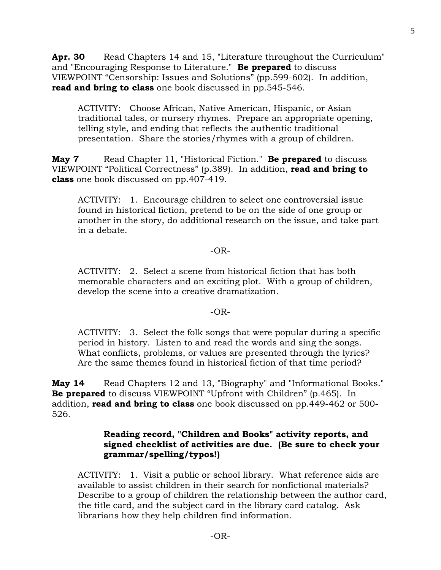Apr. 30 Read Chapters 14 and 15, "Literature throughout the Curriculum" and "Encouraging Response to Literature." **Be prepared** to discuss VIEWPOINT "Censorship: Issues and Solutions" (pp.599-602). In addition, **read and bring to class** one book discussed in pp.545-546.

ACTIVITY: Choose African, Native American, Hispanic, or Asian traditional tales, or nursery rhymes. Prepare an appropriate opening, telling style, and ending that reflects the authentic traditional presentation. Share the stories/rhymes with a group of children.

**May 7** Read Chapter 11, "Historical Fiction." **Be prepared** to discuss VIEWPOINT "Political Correctness" (p.389). In addition, **read and bring to class** one book discussed on pp.407-419.

ACTIVITY: 1. Encourage children to select one controversial issue found in historical fiction, pretend to be on the side of one group or another in the story, do additional research on the issue, and take part in a debate.

### -OR-

ACTIVITY: 2. Select a scene from historical fiction that has both memorable characters and an exciting plot. With a group of children, develop the scene into a creative dramatization.

#### $-OR-$

ACTIVITY: 3. Select the folk songs that were popular during a specific period in history. Listen to and read the words and sing the songs. What conflicts, problems, or values are presented through the lyrics? Are the same themes found in historical fiction of that time period?

**May 14** Read Chapters 12 and 13, "Biography" and "Informational Books." **Be prepared** to discuss VIEWPOINT "Upfront with Children" (p.465). In addition, **read and bring to class** one book discussed on pp.449-462 or 500- 526.

## **Reading record, "Children and Books" activity reports, and signed checklist of activities are due. (Be sure to check your grammar/spelling/typos!)**

ACTIVITY: 1. Visit a public or school library. What reference aids are available to assist children in their search for nonfictional materials? Describe to a group of children the relationship between the author card, the title card, and the subject card in the library card catalog. Ask librarians how they help children find information.